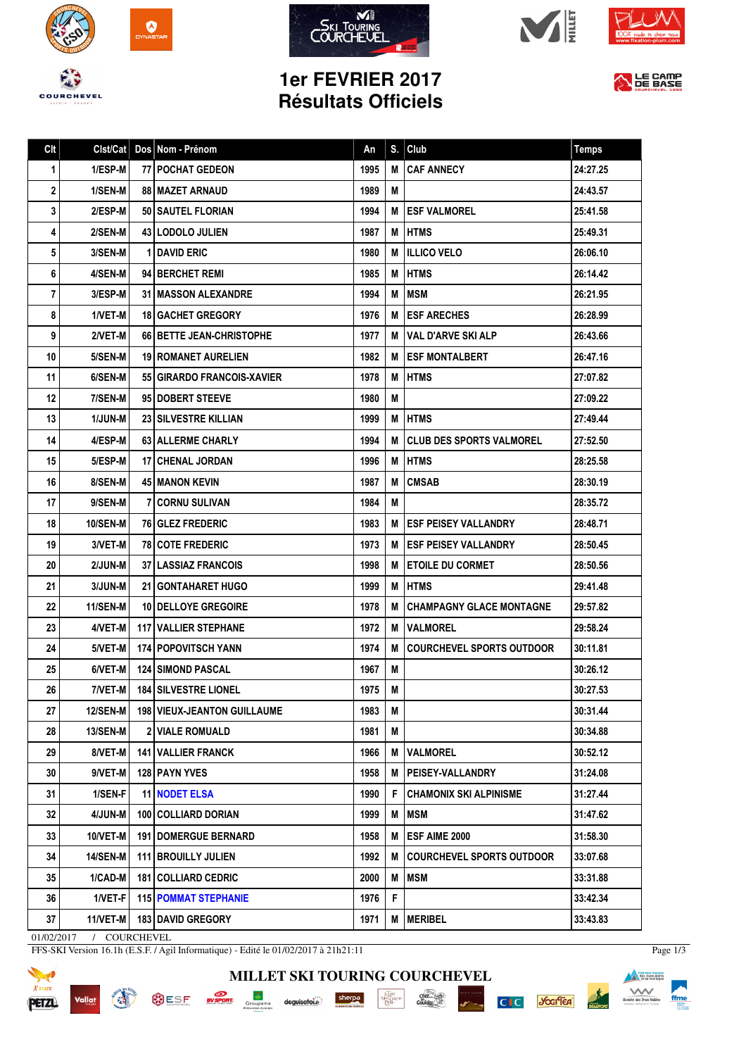









## **1er FEVRIER 2017 Résultats Officiels**



| Clt         | Clst/Cat        | Dos Nom - Prénom                     | An   | S. | Club                             | <b>Temps</b> |
|-------------|-----------------|--------------------------------------|------|----|----------------------------------|--------------|
| $\mathbf 1$ | $1/ESP-M$       | <b>77   POCHAT GEDEON</b>            | 1995 | М  | <b>CAF ANNECY</b>                | 24:27.25     |
| 2           | 1/SEN-M         | <b>88   MAZET ARNAUD</b>             | 1989 | M  |                                  | 24:43.57     |
| 3           | 2/ESP-M         | <b>50   SAUTEL FLORIAN</b>           | 1994 | м  | <b>IESF VALMOREL</b>             | 25:41.58     |
| 4           | 2/SEN-M         | 43 LODOLO JULIEN                     | 1987 | М  | <b>HTMS</b>                      | 25:49.31     |
| 5           | 3/SEN-M         | 1 DAVID ERIC                         | 1980 | М  | <b>ILLICO VELO</b>               | 26:06.10     |
| 6           | 4/SEN-M         | 94 BERCHET REMI                      | 1985 | M  | <b>HTMS</b>                      | 26:14.42     |
| 7           | 3/ESP-M         | <b>31   MASSON ALEXANDRE</b>         | 1994 | M  | MSM                              | 26:21.95     |
| 8           | 1/VET-M         | <b>18 GACHET GREGORY</b>             | 1976 | M  | <b>ESF ARECHES</b>               | 26:28.99     |
| 9           | 2/VET-M         | 66   BETTE JEAN-CHRISTOPHE           | 1977 | м  | VAL D'ARVE SKI ALP               | 26:43.66     |
| 10          | 5/SEN-M         | <b>19 ROMANET AURELIEN</b>           | 1982 | М  | <b>ESF MONTALBERT</b>            | 26:47.16     |
| 11          | 6/SEN-M         | 55 GIRARDO FRANCOIS-XAVIER           | 1978 | M  | HTMS                             | 27:07.82     |
| 12          | 7/SEN-M         | 95 DOBERT STEEVE                     | 1980 | М  |                                  | 27:09.22     |
| 13          | <b>1/JUN-M</b>  | <b>23 SILVESTRE KILLIAN</b>          | 1999 |    | <b>M IHTMS</b>                   | 27:49.44     |
| 14          | 4/ESP-M         | 63 ALLERME CHARLY                    | 1994 | м  | <b>CLUB DES SPORTS VALMOREL</b>  | 27:52.50     |
| 15          | 5/ESP-M         | <b>17 CHENAL JORDAN</b>              | 1996 | М  | <b>I HTMS</b>                    | 28:25.58     |
| 16          | 8/SEN-M         | <b>45 I MANON KEVIN</b>              | 1987 | M  | <b>CMSAB</b>                     | 28:30.19     |
| 17          | 9/SEN-M         | <b>7 CORNU SULIVAN</b>               | 1984 | M  |                                  | 28:35.72     |
| 18          | <b>10/SEN-M</b> | 76 GLEZ FREDERIC                     | 1983 | м  | ESF PEISEY VALLANDRY             | 28:48.71     |
| 19          | 3/VET-M         | <b>78 COTE FREDERIC</b>              | 1973 | м  | <b>I ESF PEISEY VALLANDRY</b>    | 28:50.45     |
| 20          | 2/JUN-M         | <b>37 I LASSIAZ FRANCOIS</b>         | 1998 | м  | <b>I ETOILE DU CORMET</b>        | 28:50.56     |
| 21          | 3/JUN-M         | <b>21 GONTAHARET HUGO</b>            | 1999 | М  | <b>I HTMS</b>                    | 29:41.48     |
| 22          | <b>11/SEN-M</b> | <b>10   DELLOYE GREGOIRE</b>         | 1978 | M  | CHAMPAGNY GLACE MONTAGNE         | 29:57.82     |
| 23          | 4/VET-M         | <b>117 VALLIER STEPHANE</b>          | 1972 | М  | <b>VALMOREL</b>                  | 29:58.24     |
| 24          | 5/VET-M         | <b>174   POPOVITSCH YANN</b>         | 1974 | М  | <b>COURCHEVEL SPORTS OUTDOOR</b> | 30:11.81     |
| 25          | 6/VET-M         | <b>124   SIMOND PASCAL</b>           | 1967 | M  |                                  | 30:26.12     |
| 26          | 7/VET-M         | <b>184 SILVESTRE LIONEL</b>          | 1975 | M  |                                  | 30:27.53     |
| 27          | 12/SEN-M        | <b>198   VIEUX-JEANTON GUILLAUME</b> | 1983 | М  |                                  | 30:31.44     |
| 28          | <b>13/SEN-M</b> | 2 VIALE ROMUALD                      | 1981 | М  |                                  | 30:34.88     |
| 29          | 8/VET-M         | <b>141   VALLIER FRANCK</b>          | 1966 | М  | <b>VALMOREL</b>                  | 30:52.12     |
| 30          | 9/VET-M         | 128 PAYN YVES                        | 1958 | М  | <b>PEISEY-VALLANDRY</b>          | 31:24.08     |
| 31          | 1/SEN-F         | <b>11 NODET ELSA</b>                 | 1990 | F. | <b>CHAMONIX SKI ALPINISME</b>    | 31:27.44     |
| 32          | 4/JUN-M         | 100 COLLIARD DORIAN                  | 1999 | Μ  | <b>MSM</b>                       | 31:47.62     |
| 33          | 10/VET-M        | <b>191 DOMERGUE BERNARD</b>          | 1958 | М  | <b>ESF AIME 2000</b>             | 31:58.30     |
| 34          | <b>14/SEN-M</b> | <b>111 BROUILLY JULIEN</b>           | 1992 | м  | <b>COURCHEVEL SPORTS OUTDOOR</b> | 33:07.68     |
| 35          | 1/CAD-M         | 181   COLLIARD CEDRIC                | 2000 | М  | <b>MSM</b>                       | 33:31.88     |
| 36          | 1/VET-F         | <b>115 POMMAT STEPHANIE</b>          | 1976 | F  |                                  | 33:42.34     |
| 37          | 11/VET-M        | <b>183   DAVID GREGORY</b>           | 1971 |    | M   MERIBEL                      | 33:43.83     |

**MILLET SKI TOURING COURCHEVEL**

 $\cdot \underbrace{ \underset{P \in \mathbf{R}^1}{\underset{P \in \mathbf{R}^1}{\underset{P \in \mathbf{R}^1}{\underset{P \in \mathbf{R}^2}{\underset{P \in \mathbf{R}^2}}}}}_{\text{Max}}$ 

sherpa

 $\begin{minipage}{.4\linewidth} \textbf{deguise} \begin{tabular}{l} \textbf{to} \end{tabular} \end{minipage}$ 

 $\frac{\text{chez}}{\text{Gal}(0)\text{s}}$ 

**C**<sub>I</sub>C *S*GGITEA

01/02/2017 / COURCHEVEL

Vallat

**REAL** 

FFS-SKI Version 16.1h (E.S.F. / Agil Informatique) - Edité le 01/02/2017 à 21h21:11

SESE **EVERENT** Groupama



Page 1/3

**Execution franceire**<br> **Execution des clubs alpins**<br> **Execution de montagne**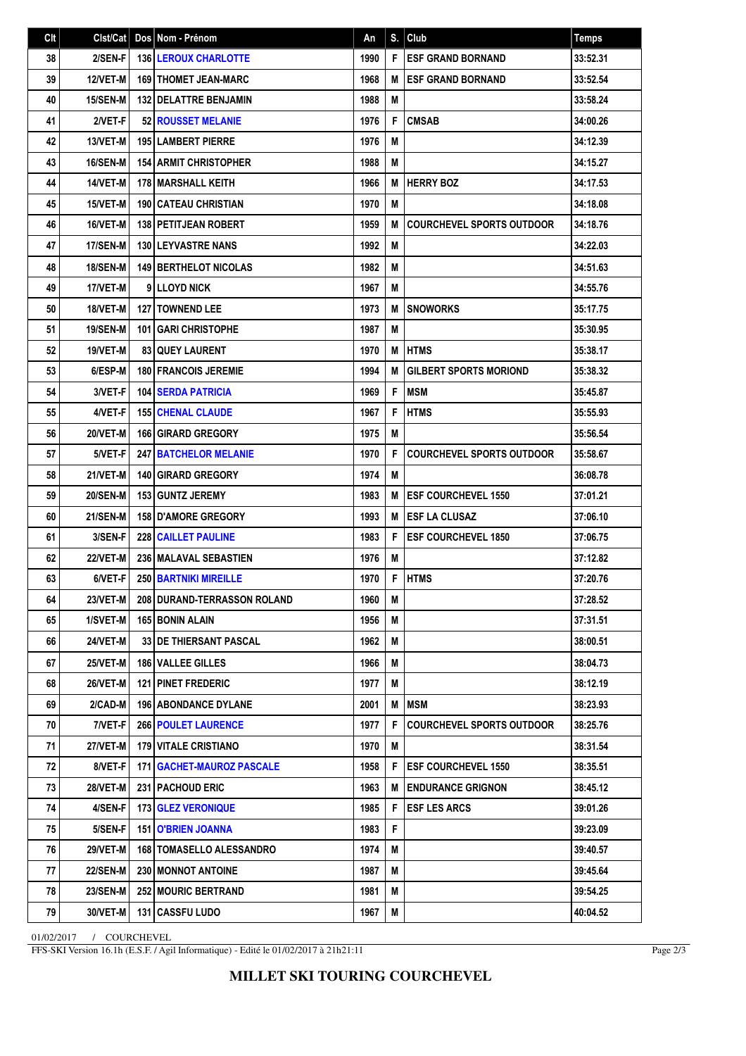| Clt | Clst/Cat        | Dos Nom - Prénom                   | An   | S. | Club                             | <b>Temps</b> |
|-----|-----------------|------------------------------------|------|----|----------------------------------|--------------|
| 38  | 2/SEN-F         | <b>136   LEROUX CHARLOTTE</b>      | 1990 | F  | <b>ESF GRAND BORNAND</b>         | 33:52.31     |
| 39  | <b>12/VET-M</b> | <b>169   THOMET JEAN-MARC</b>      | 1968 | M  | <b>ESF GRAND BORNAND</b>         | 33:52.54     |
| 40  | <b>15/SEN-M</b> | <b>132 DELATTRE BENJAMIN</b>       | 1988 | M  |                                  | 33:58.24     |
| 41  | 2/VET-F         | <b>52 ROUSSET MELANIE</b>          | 1976 | F  | <b>CMSAB</b>                     | 34:00.26     |
| 42  | 13/VET-M        | 195 LAMBERT PIERRE                 | 1976 | M  |                                  | 34:12.39     |
| 43  | <b>16/SEN-M</b> | <b>154 ARMIT CHRISTOPHER</b>       | 1988 | M  |                                  | 34:15.27     |
| 44  | 14/VET-M        | <b>178 MARSHALL KEITH</b>          | 1966 | M  | <b>HERRY BOZ</b>                 | 34:17.53     |
| 45  | 15/VET-M        | <b>190 CATEAU CHRISTIAN</b>        | 1970 | M  |                                  | 34:18.08     |
| 46  | 16/VET-M        | 138 PETITJEAN ROBERT               | 1959 | M  | <b>COURCHEVEL SPORTS OUTDOOR</b> | 34:18.76     |
| 47  | 17/SEN-M        | <b>130 LEYVASTRE NANS</b>          | 1992 | M  |                                  | 34:22.03     |
| 48  | <b>18/SEN-M</b> | <b>149 BERTHELOT NICOLAS</b>       | 1982 | Μ  |                                  | 34:51.63     |
| 49  | 17/VET-M        | 9 LLOYD NICK                       | 1967 | M  |                                  | 34:55.76     |
| 50  | 18/VET-M        | <b>127   TOWNEND LEE</b>           | 1973 | M  | <b>SNOWORKS</b>                  | 35:17.75     |
| 51  | <b>19/SEN-M</b> | 101 GARI CHRISTOPHE                | 1987 | M  |                                  | 35:30.95     |
| 52  | 19/VET-M        | <b>83 OUEY LAURENT</b>             | 1970 | M  | <b>HTMS</b>                      | 35:38.17     |
| 53  | 6/ESP-M         | <b>180 FRANCOIS JEREMIE</b>        | 1994 | M  | <b>GILBERT SPORTS MORIOND</b>    | 35:38.32     |
| 54  | 3/VET-F         | <b>104 SERDA PATRICIA</b>          | 1969 | F  | <b>MSM</b>                       | 35:45.87     |
| 55  | 4/VET-F         | <b>155 CHENAL CLAUDE</b>           | 1967 | F  | <b>HTMS</b>                      | 35:55.93     |
| 56  | 20/VET-M        | <b>166 GIRARD GREGORY</b>          | 1975 | M  |                                  | 35:56.54     |
| 57  | 5/VET-F         | <b>247 BATCHELOR MELANIE</b>       | 1970 | F  | <b>COURCHEVEL SPORTS OUTDOOR</b> | 35:58.67     |
| 58  | 21/VET-M        | <b>140 GIRARD GREGORY</b>          | 1974 | M  |                                  | 36:08.78     |
| 59  | <b>20/SEN-M</b> | <b>153 GUNTZ JEREMY</b>            | 1983 | M  | <b>ESF COURCHEVEL 1550</b>       | 37:01.21     |
| 60  | <b>21/SEN-M</b> | 158 D'AMORE GREGORY                | 1993 | M  | <b>ESF LA CLUSAZ</b>             | 37:06.10     |
| 61  | 3/SEN-F         | <b>228 CAILLET PAULINE</b>         | 1983 | F  | <b>ESF COURCHEVEL 1850</b>       | 37:06.75     |
| 62  | 22/VET-M        | 236 MALAVAL SEBASTIEN              | 1976 | M  |                                  | 37:12.82     |
| 63  | 6/VET-F         | 250 BARTNIKI MIREILLE              | 1970 | F  | <b>HTMS</b>                      | 37:20.76     |
| 64  | 23/VET-M        | 208 DURAND-TERRASSON ROLAND        | 1960 | M  |                                  | 37:28.52     |
| 65  | 1/SVET-M        | <b>165 BONIN ALAIN</b>             | 1956 | М  |                                  | 37:31.51     |
| 66  | <b>24/VET-M</b> | 33 DE THIERSANT PASCAL             | 1962 | M  |                                  | 38:00.51     |
| 67  | <b>25/VET-M</b> | 186 VALLEE GILLES                  | 1966 | М  |                                  | 38:04.73     |
| 68  | <b>26/VET-M</b> | <b>121 PINET FREDERIC</b>          | 1977 | M  |                                  | 38:12.19     |
| 69  | 2/CAD-M         | <b>196   ABONDANCE DYLANE</b>      | 2001 | M  | MSM                              | 38:23.93     |
| 70  | 7/VET-F         | <b>266 POULET LAURENCE</b>         | 1977 | F  | <b>COURCHEVEL SPORTS OUTDOOR</b> | 38:25.76     |
| 71  | <b>27/VET-M</b> | <b>179 VITALE CRISTIANO</b>        | 1970 | M  |                                  | 38:31.54     |
| 72  | 8/VET-F         | <b>171   GACHET-MAUROZ PASCALE</b> | 1958 | F  | <b>ESF COURCHEVEL 1550</b>       | 38:35.51     |
| 73  | <b>28/VET-M</b> | 231   PACHOUD ERIC                 | 1963 | M  | <b>ENDURANCE GRIGNON</b>         | 38:45.12     |
| 74  | 4/SEN-F         | <b>173 GLEZ VERONIQUE</b>          | 1985 | F  | <b>ESF LES ARCS</b>              | 39:01.26     |
| 75  | 5/SEN-F         | 151 O'BRIEN JOANNA                 | 1983 | F  |                                  | 39:23.09     |
| 76  | <b>29/VET-M</b> | <b>168   TOMASELLO ALESSANDRO</b>  | 1974 | M  |                                  | 39:40.57     |
| 77  | <b>22/SEN-M</b> | 230 MONNOT ANTOINE                 | 1987 | M  |                                  | 39:45.64     |
| 78  | <b>23/SEN-M</b> | <b>252 MOURIC BERTRAND</b>         | 1981 | M  |                                  | 39:54.25     |
| 79  | 30/VET-M        | 131 CASSFU LUDO                    | 1967 | M  |                                  | 40:04.52     |

01/02/2017 / COURCHEVEL

FFS-SKI Version 16.1h (E.S.F. / Agil Informatique) - Edité le 01/02/2017 à 21h21:11

Page 2/3